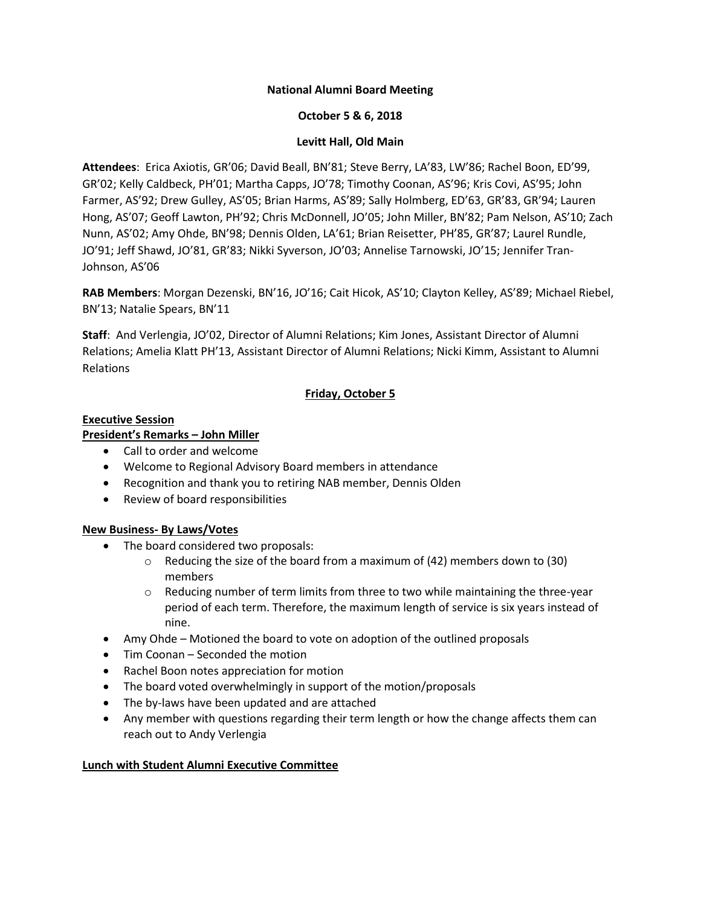### **National Alumni Board Meeting**

### **October 5 & 6, 2018**

### **Levitt Hall, Old Main**

**Attendees**: Erica Axiotis, GR'06; David Beall, BN'81; Steve Berry, LA'83, LW'86; Rachel Boon, ED'99, GR'02; Kelly Caldbeck, PH'01; Martha Capps, JO'78; Timothy Coonan, AS'96; Kris Covi, AS'95; John Farmer, AS'92; Drew Gulley, AS'05; Brian Harms, AS'89; Sally Holmberg, ED'63, GR'83, GR'94; Lauren Hong, AS'07; Geoff Lawton, PH'92; Chris McDonnell, JO'05; John Miller, BN'82; Pam Nelson, AS'10; Zach Nunn, AS'02; Amy Ohde, BN'98; Dennis Olden, LA'61; Brian Reisetter, PH'85, GR'87; Laurel Rundle, JO'91; Jeff Shawd, JO'81, GR'83; Nikki Syverson, JO'03; Annelise Tarnowski, JO'15; Jennifer Tran-Johnson, AS'06

**RAB Members**: Morgan Dezenski, BN'16, JO'16; Cait Hicok, AS'10; Clayton Kelley, AS'89; Michael Riebel, BN'13; Natalie Spears, BN'11

**Staff**: And Verlengia, JO'02, Director of Alumni Relations; Kim Jones, Assistant Director of Alumni Relations; Amelia Klatt PH'13, Assistant Director of Alumni Relations; Nicki Kimm, Assistant to Alumni Relations

## **Friday, October 5**

#### **Executive Session**

## **President's Remarks – John Miller**

- Call to order and welcome
- Welcome to Regional Advisory Board members in attendance
- Recognition and thank you to retiring NAB member, Dennis Olden
- Review of board responsibilities

### **New Business- By Laws/Votes**

- The board considered two proposals:
	- $\circ$  Reducing the size of the board from a maximum of (42) members down to (30) members
	- $\circ$  Reducing number of term limits from three to two while maintaining the three-year period of each term. Therefore, the maximum length of service is six years instead of nine.
- Amy Ohde Motioned the board to vote on adoption of the outlined proposals
- Tim Coonan Seconded the motion
- Rachel Boon notes appreciation for motion
- The board voted overwhelmingly in support of the motion/proposals
- The by-laws have been updated and are attached
- Any member with questions regarding their term length or how the change affects them can reach out to Andy Verlengia

### **Lunch with Student Alumni Executive Committee**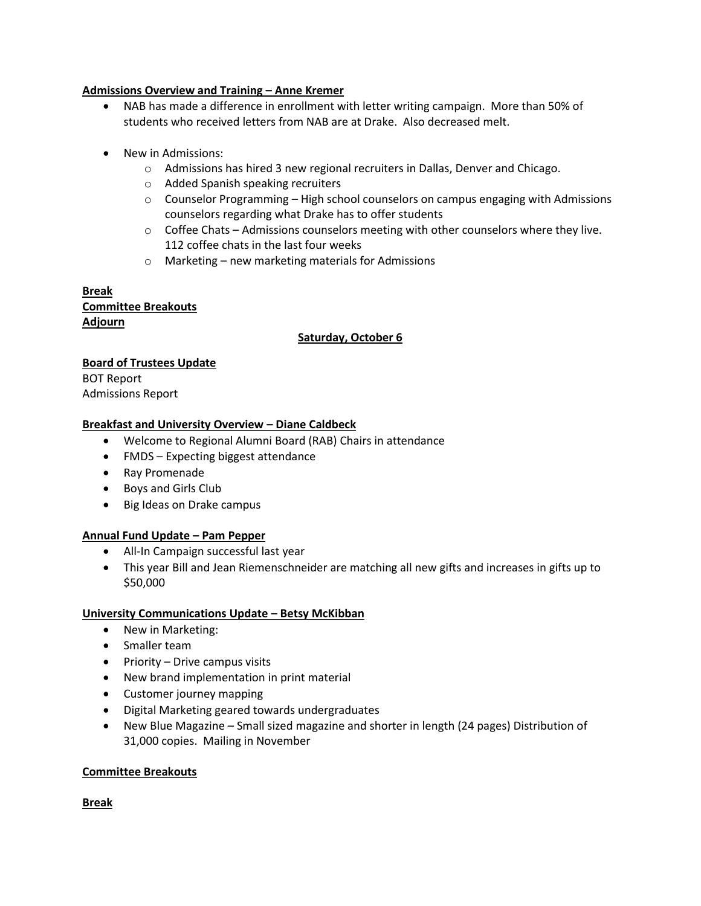### **Admissions Overview and Training – Anne Kremer**

- NAB has made a difference in enrollment with letter writing campaign. More than 50% of students who received letters from NAB are at Drake. Also decreased melt.
- New in Admissions:
	- o Admissions has hired 3 new regional recruiters in Dallas, Denver and Chicago.
	- o Added Spanish speaking recruiters
	- $\circ$  Counselor Programming High school counselors on campus engaging with Admissions counselors regarding what Drake has to offer students
	- $\circ$  Coffee Chats Admissions counselors meeting with other counselors where they live. 112 coffee chats in the last four weeks
	- o Marketing new marketing materials for Admissions

**Break Committee Breakouts Adjourn**

# **Saturday, October 6**

## **Board of Trustees Update**

BOT Report Admissions Report

## **Breakfast and University Overview – Diane Caldbeck**

- Welcome to Regional Alumni Board (RAB) Chairs in attendance
- FMDS Expecting biggest attendance
- Ray Promenade
- Boys and Girls Club
- Big Ideas on Drake campus

### **Annual Fund Update – Pam Pepper**

- All-In Campaign successful last year
- This year Bill and Jean Riemenschneider are matching all new gifts and increases in gifts up to \$50,000

### **University Communications Update – Betsy McKibban**

- New in Marketing:
- Smaller team
- $\bullet$  Priority Drive campus visits
- New brand implementation in print material
- Customer journey mapping
- Digital Marketing geared towards undergraduates
- New Blue Magazine Small sized magazine and shorter in length (24 pages) Distribution of 31,000 copies. Mailing in November

### **Committee Breakouts**

**Break**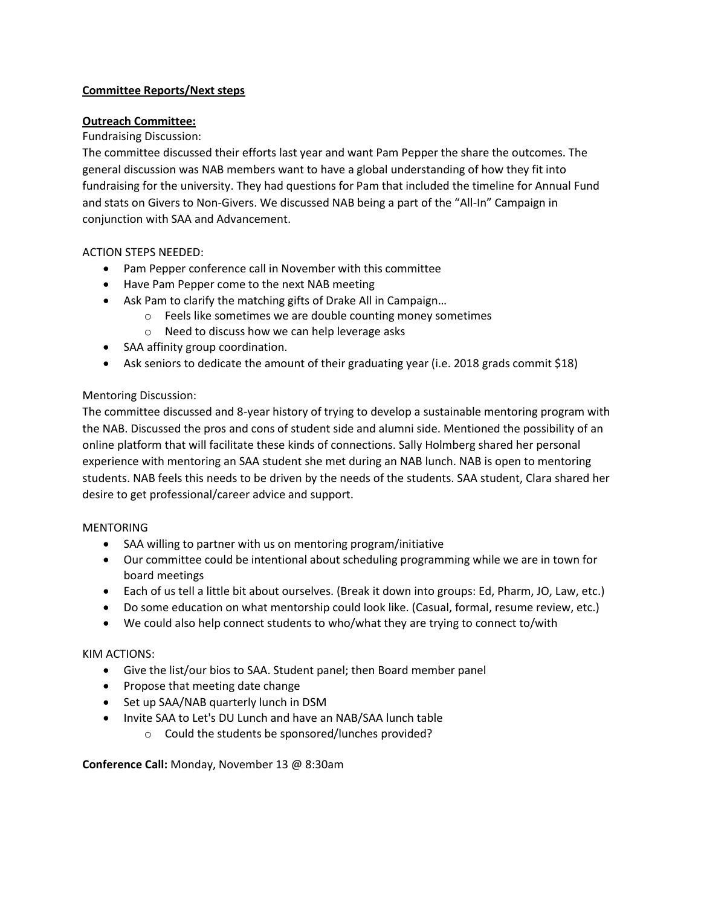## **Committee Reports/Next steps**

## **Outreach Committee:**

## Fundraising Discussion:

The committee discussed their efforts last year and want Pam Pepper the share the outcomes. The general discussion was NAB members want to have a global understanding of how they fit into fundraising for the university. They had questions for Pam that included the timeline for Annual Fund and stats on Givers to Non-Givers. We discussed NAB being a part of the "All-In" Campaign in conjunction with SAA and Advancement.

## ACTION STEPS NEEDED:

- Pam Pepper conference call in November with this committee
- Have Pam Pepper come to the next NAB meeting
- Ask Pam to clarify the matching gifts of Drake All in Campaign...
	- o Feels like sometimes we are double counting money sometimes
	- o Need to discuss how we can help leverage asks
- SAA affinity group coordination.
- Ask seniors to dedicate the amount of their graduating year (i.e. 2018 grads commit \$18)

## Mentoring Discussion:

The committee discussed and 8-year history of trying to develop a sustainable mentoring program with the NAB. Discussed the pros and cons of student side and alumni side. Mentioned the possibility of an online platform that will facilitate these kinds of connections. Sally Holmberg shared her personal experience with mentoring an SAA student she met during an NAB lunch. NAB is open to mentoring students. NAB feels this needs to be driven by the needs of the students. SAA student, Clara shared her desire to get professional/career advice and support.

### **MENTORING**

- SAA willing to partner with us on mentoring program/initiative
- Our committee could be intentional about scheduling programming while we are in town for board meetings
- Each of us tell a little bit about ourselves. (Break it down into groups: Ed, Pharm, JO, Law, etc.)
- Do some education on what mentorship could look like. (Casual, formal, resume review, etc.)
- We could also help connect students to who/what they are trying to connect to/with

### KIM ACTIONS:

- Give the list/our bios to SAA. Student panel; then Board member panel
- Propose that meeting date change
- Set up SAA/NAB quarterly lunch in DSM
- Invite SAA to Let's DU Lunch and have an NAB/SAA lunch table
	- o Could the students be sponsored/lunches provided?

### **Conference Call:** Monday, November 13 @ 8:30am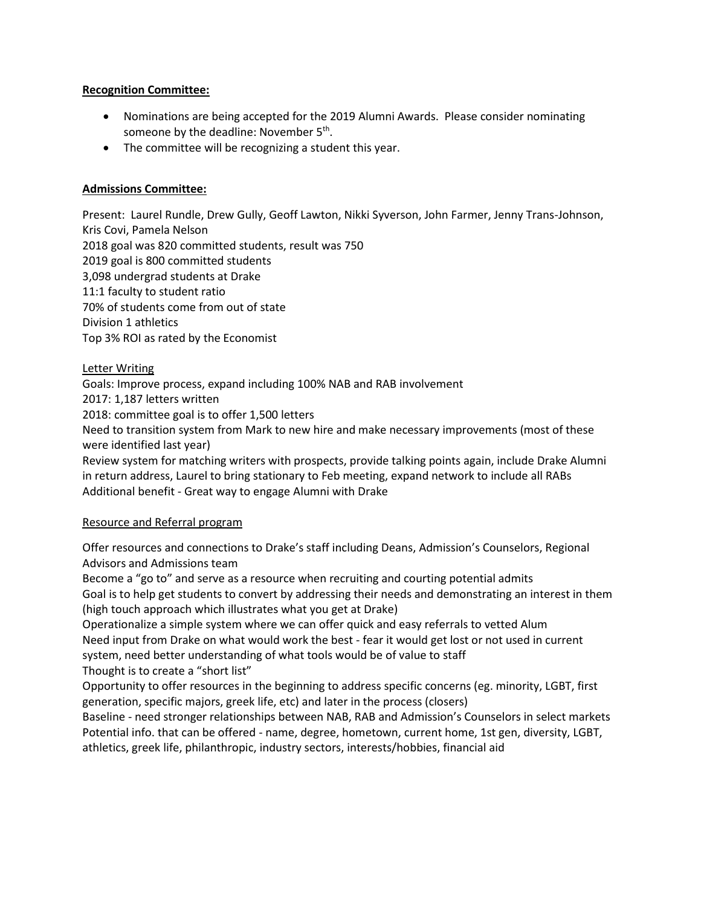### **Recognition Committee:**

- Nominations are being accepted for the 2019 Alumni Awards. Please consider nominating someone by the deadline: November 5<sup>th</sup>.
- The committee will be recognizing a student this year.

# **Admissions Committee:**

Present: Laurel Rundle, Drew Gully, Geoff Lawton, Nikki Syverson, John Farmer, Jenny Trans-Johnson, Kris Covi, Pamela Nelson 2018 goal was 820 committed students, result was 750 2019 goal is 800 committed students 3,098 undergrad students at Drake 11:1 faculty to student ratio 70% of students come from out of state Division 1 athletics Top 3% ROI as rated by the Economist

# Letter Writing

Goals: Improve process, expand including 100% NAB and RAB involvement

2017: 1,187 letters written

2018: committee goal is to offer 1,500 letters

Need to transition system from Mark to new hire and make necessary improvements (most of these were identified last year)

Review system for matching writers with prospects, provide talking points again, include Drake Alumni in return address, Laurel to bring stationary to Feb meeting, expand network to include all RABs Additional benefit - Great way to engage Alumni with Drake

# Resource and Referral program

Offer resources and connections to Drake's staff including Deans, Admission's Counselors, Regional Advisors and Admissions team

Become a "go to" and serve as a resource when recruiting and courting potential admits Goal is to help get students to convert by addressing their needs and demonstrating an interest in them (high touch approach which illustrates what you get at Drake)

Operationalize a simple system where we can offer quick and easy referrals to vetted Alum Need input from Drake on what would work the best - fear it would get lost or not used in current system, need better understanding of what tools would be of value to staff Thought is to create a "short list"

Opportunity to offer resources in the beginning to address specific concerns (eg. minority, LGBT, first generation, specific majors, greek life, etc) and later in the process (closers)

Baseline - need stronger relationships between NAB, RAB and Admission's Counselors in select markets Potential info. that can be offered - name, degree, hometown, current home, 1st gen, diversity, LGBT, athletics, greek life, philanthropic, industry sectors, interests/hobbies, financial aid